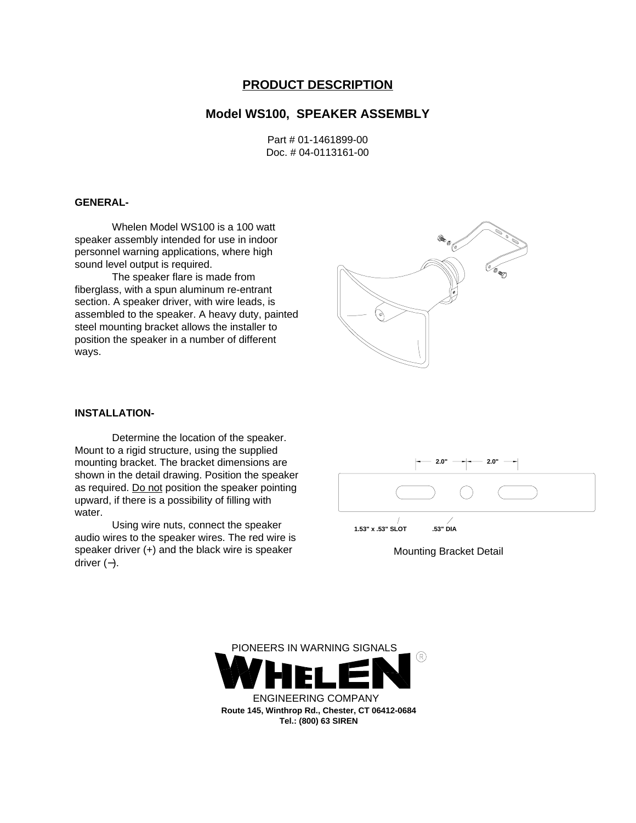# **PRODUCT DESCRIPTION**

# **Model WS100, SPEAKER ASSEMBLY**

Part # 01-1461899-00 Doc. # 04-0113161-00

## **GENERAL-**

Whelen Model WS100 is a 100 watt speaker assembly intended for use in indoor personnel warning applications, where high sound level output is required.

The speaker flare is made from fiberglass, with a spun aluminum re-entrant section. A speaker driver, with wire leads, is assembled to the speaker. A heavy duty, painted steel mounting bracket allows the installer to position the speaker in a number of different ways.



### **INSTALLATION-**

Determine the location of the speaker. Mount to a rigid structure, using the supplied mounting bracket. The bracket dimensions are shown in the detail drawing. Position the speaker as required. Do not position the speaker pointing upward, if there is a possibility of filling with water.

Using wire nuts, connect the speaker audio wires to the speaker wires. The red wire is speaker driver (+) and the black wire is speaker driver (−).



Mounting Bracket Detail